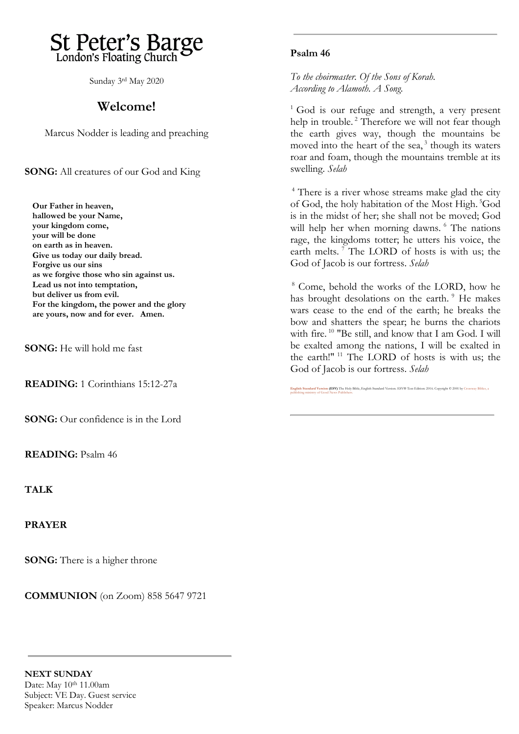# St Peter's Barge London's Floating Church

Sunday 3 rd May 2020

## **Welcome!**

Marcus Nodder is leading and preaching

**SONG:** All creatures of our God and King

**Our Father in heaven, hallowed be your Name, your kingdom come, your will be done on earth as in heaven. Give us today our daily bread. Forgive us our sins as we forgive those who sin against us. Lead us not into temptation, but deliver us from evil. For the kingdom, the power and the glory are yours, now and for ever. Amen.**

**SONG:** He will hold me fast

**READING:** 1 Corinthians 15:12-27a

**SONG:** Our confidence is in the Lord

**READING:** Psalm 46

**TALK**

**PRAYER**

**SONG:** There is a higher throne

**COMMUNION** (on Zoom) 858 5647 9721

#### **Psalm 46**

*To the choirmaster. Of the Sons of Korah. According to Alamoth. A Song.*

 $1$  God is our refuge and strength, a very present help in trouble.<sup>2</sup> Therefore we will not fear though the earth gives way, though the mountains be moved into the heart of the sea, $3$  though its waters roar and foam, though the mountains tremble at its swelling. *Selah*

<sup>4</sup> There is a river whose streams make glad the city of God, the holy habitation of the Most High. <sup>5</sup>God is in the midst of her; she shall not be moved; God will help her when morning dawns. <sup>6</sup> The nations rage, the kingdoms totter; he utters his voice, the earth melts.  $\bar{7}$  The LORD of hosts is with us; the God of Jacob is our fortress. *Selah*

<sup>8</sup> Come, behold the works of the LORD, how he has brought desolations on the earth.<sup>9</sup> He makes wars cease to the end of the earth; he breaks the bow and shatters the spear; he burns the chariots with fire. <sup>10</sup> "Be still, and know that I am God. I will be exalted among the nations, I will be exalted in the earth!" <sup>11</sup> The LORD of hosts is with us; the God of Jacob is our fortress. *Selah*

**[English Standard Version](https://www.biblegateway.com/versions/English-Standard-Version-ESV-Bible/) (ESV)** The Holy Bible, English Standard Version. ESV® Text Edition: 2016. Copyright © 2001 by [Crossway Bibles, a](https://www.crossway.org/)  [publishing ministry of Good News Publishers.](https://www.crossway.org/)

**NEXT SUNDAY**  Date: May 10<sup>th</sup> 11.00am Subject: VE Day. Guest service Speaker: Marcus Nodder